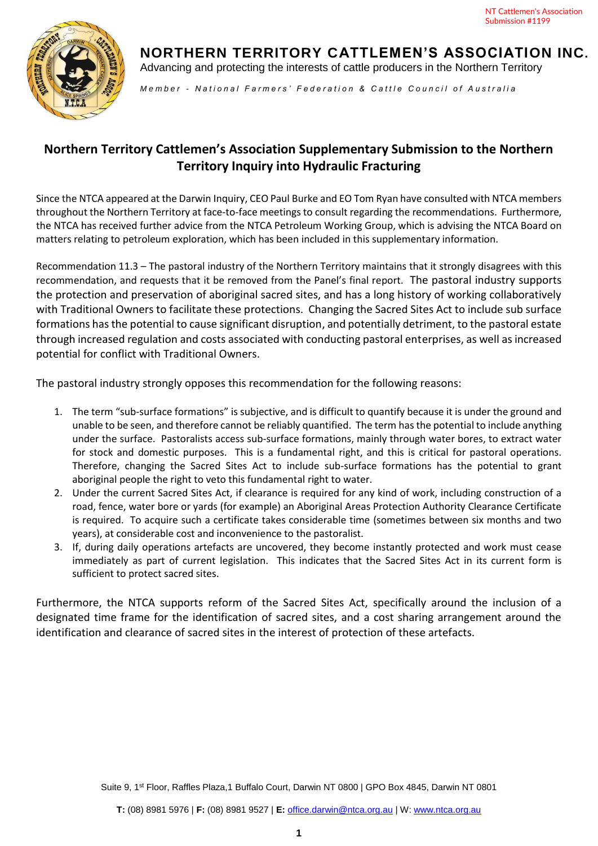

**NORTHERN TERRITORY CATTLEMEN'S ASSOCIATION INC.**  Advancing and protecting the interests of cattle producers in the Northern Territory

*M e m b e r - N a t i o n a l F a r m e r s ' F e d e r a t i o n & C a t t l e C o u n c i l o f A u s t r a l i a*

## **Northern Territory Cattlemen's Association Supplementary Submission to the Northern Territory Inquiry into Hydraulic Fracturing**

Since the NTCA appeared at the Darwin Inquiry, CEO Paul Burke and EO Tom Ryan have consulted with NTCA members throughout the Northern Territory at face-to-face meetings to consult regarding the recommendations. Furthermore, the NTCA has received further advice from the NTCA Petroleum Working Group, which is advising the NTCA Board on matters relating to petroleum exploration, which has been included in this supplementary information.

Recommendation 11.3 – The pastoral industry of the Northern Territory maintains that it strongly disagrees with this recommendation, and requests that it be removed from the Panel's final report. The pastoral industry supports the protection and preservation of aboriginal sacred sites, and has a long history of working collaboratively with Traditional Owners to facilitate these protections. Changing the Sacred Sites Act to include sub surface formations has the potential to cause significant disruption, and potentially detriment, to the pastoral estate through increased regulation and costs associated with conducting pastoral enterprises, as well as increased potential for conflict with Traditional Owners.

The pastoral industry strongly opposes this recommendation for the following reasons:

- 1. The term "sub-surface formations" is subjective, and is difficult to quantify because it is under the ground and unable to be seen, and therefore cannot be reliably quantified. The term has the potential to include anything under the surface. Pastoralists access sub-surface formations, mainly through water bores, to extract water for stock and domestic purposes. This is a fundamental right, and this is critical for pastoral operations. Therefore, changing the Sacred Sites Act to include sub-surface formations has the potential to grant aboriginal people the right to veto this fundamental right to water.
- 2. Under the current Sacred Sites Act, if clearance is required for any kind of work, including construction of a road, fence, water bore or yards (for example) an Aboriginal Areas Protection Authority Clearance Certificate is required. To acquire such a certificate takes considerable time (sometimes between six months and two years), at considerable cost and inconvenience to the pastoralist.
- 3. If, during daily operations artefacts are uncovered, they become instantly protected and work must cease immediately as part of current legislation. This indicates that the Sacred Sites Act in its current form is sufficient to protect sacred sites.

Furthermore, the NTCA supports reform of the Sacred Sites Act, specifically around the inclusion of a designated time frame for the identification of sacred sites, and a cost sharing arrangement around the identification and clearance of sacred sites in the interest of protection of these artefacts.